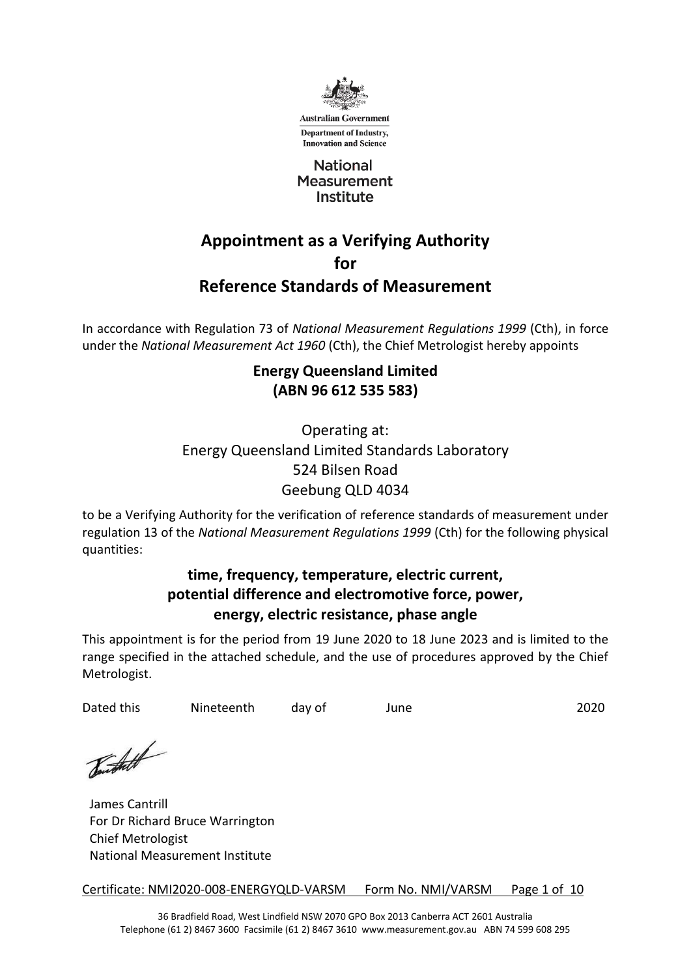

Department of Industry, **Innovation and Science** 

**National Measurement** Institute

# **Appointment as a Verifying Authority for Reference Standards of Measurement**

In accordance with Regulation 73 of *National Measurement Regulations 1999* (Cth), in force under the *National Measurement Act 1960* (Cth), the Chief Metrologist hereby appoints

## **Energy Queensland Limited (ABN 96 612 535 583)**

# Operating at: Energy Queensland Limited Standards Laboratory 524 Bilsen Road Geebung QLD 4034

to be a Verifying Authority for the verification of reference standards of measurement under regulation 13 of the *National Measurement Regulations 1999* (Cth) for the following physical quantities:

### **time, frequency, temperature, electric current, potential difference and electromotive force, power, energy, electric resistance, phase angle**

This appointment is for the period from 19 June 2020 to 18 June 2023 and is limited to the range specified in the attached schedule, and the use of procedures approved by the Chief Metrologist.

Dated this Mineteenth day of June 2020

Toutheth

James Cantrill For Dr Richard Bruce Warrington Chief Metrologist National Measurement Institute

Certificate: NMI2020-008-ENERGYQLD-VARSM Form No. NMI/VARSM Page 1 of 10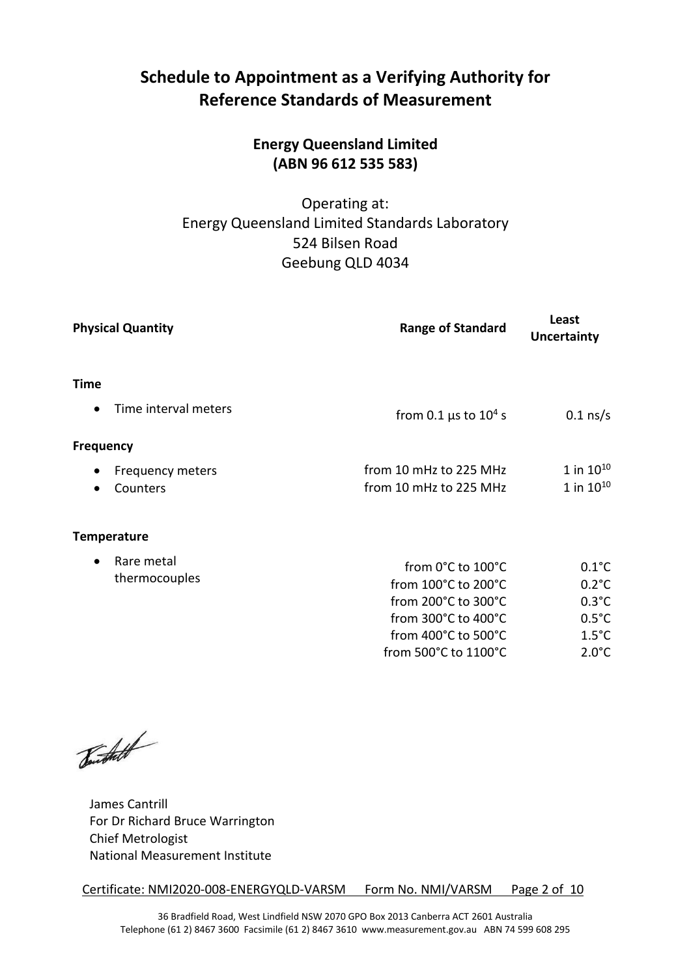# **Schedule to Appointment as a Verifying Authority for Reference Standards of Measurement**

# **Energy Queensland Limited (ABN 96 612 535 583)**

### Operating at: Energy Queensland Limited Standards Laboratory 524 Bilsen Road Geebung QLD 4034

| <b>Physical Quantity</b>          | <b>Range of Standard</b>              | Least<br><b>Uncertainty</b> |
|-----------------------------------|---------------------------------------|-----------------------------|
| Time                              |                                       |                             |
| Time interval meters<br>$\bullet$ | from 0.1 $\mu$ s to 10 <sup>4</sup> s | $0.1$ ns/s                  |
| <b>Frequency</b>                  |                                       |                             |
| Frequency meters<br>$\bullet$     | from 10 mHz to 225 MHz                | $1$ in $10^{10}$            |
| Counters<br>$\bullet$             | from 10 mHz to 225 MHz                | 1 in $10^{10}$              |
| <b>Temperature</b>                |                                       |                             |
| Rare metal<br>$\bullet$           | from 0°C to 100°C                     | $0.1^{\circ}$ C             |
| thermocouples                     | from 100°C to 200°C                   | $0.2^{\circ}$ C             |
|                                   | from 200°C to 300°C                   | $0.3^{\circ}$ C             |
|                                   | from 300°C to 400°C                   | $0.5^{\circ}$ C             |
|                                   | from 400°C to 500°C                   | $1.5^{\circ}$ C             |
|                                   | from 500°C to 1100°C                  | $2.0^{\circ}$ C             |

Burthett

James Cantrill For Dr Richard Bruce Warrington Chief Metrologist National Measurement Institute

Certificate: NMI2020-008-ENERGYQLD-VARSM Form No. NMI/VARSM Page 2 of 10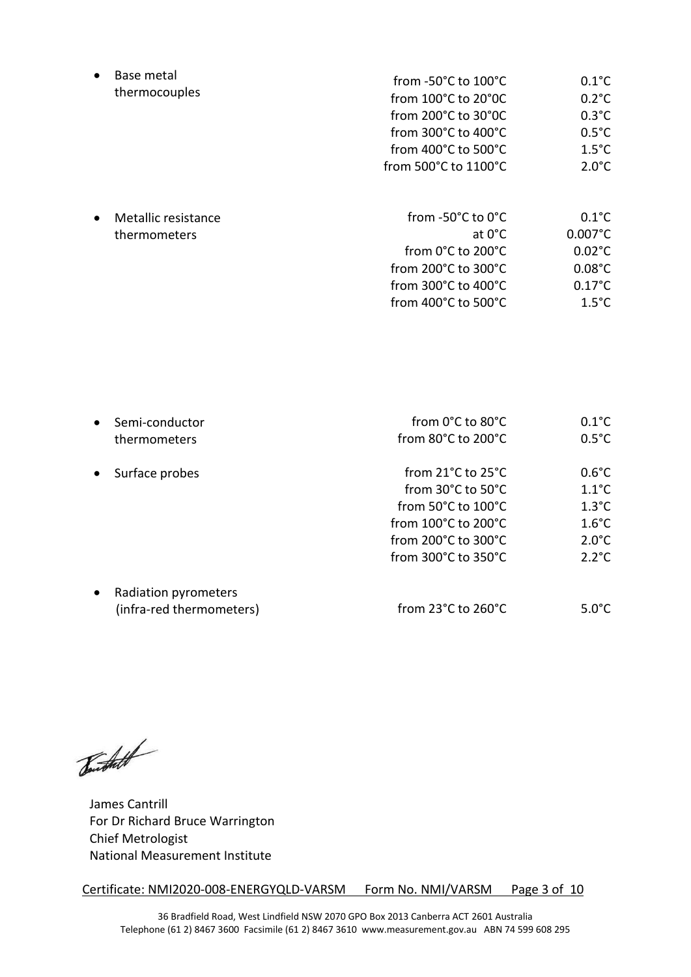| Base metal<br>thermocouples                      | from $-50^{\circ}$ C to $100^{\circ}$ C<br>from $100^{\circ}$ C to $20^{\circ}$ OC<br>from $200^{\circ}$ C to $30^{\circ}$ OC<br>from $300^{\circ}$ C to $400^{\circ}$ C<br>from $400^{\circ}$ C to 500 $^{\circ}$ C<br>from 500°C to 1100°C | $0.1^{\circ}$ C<br>$0.2^{\circ}$ C<br>$0.3^{\circ}$ C<br>$0.5^{\circ}$ C<br>$1.5^{\circ}$ C<br>$2.0^{\circ}$ C      |
|--------------------------------------------------|----------------------------------------------------------------------------------------------------------------------------------------------------------------------------------------------------------------------------------------------|---------------------------------------------------------------------------------------------------------------------|
| Metallic resistance<br>$\bullet$<br>thermometers | from -50°C to 0°C<br>at 0°C<br>from 0°C to 200°C<br>from $200^{\circ}$ C to $300^{\circ}$ C<br>from $300^{\circ}$ C to $400^{\circ}$ C<br>from $400^{\circ}$ C to $500^{\circ}$ C                                                            | $0.1^{\circ}$ C<br>$0.007^{\circ}$ C<br>$0.02^{\circ}$ C<br>$0.08^{\circ}$ C<br>$0.17^{\circ}$ C<br>$1.5^{\circ}$ C |

| Semi-conductor           | from $0^{\circ}$ C to $80^{\circ}$ C<br>from 80°C to 200°C | $0.1^{\circ}$ C<br>$0.5^{\circ}$ C |
|--------------------------|------------------------------------------------------------|------------------------------------|
| Surface probes           | from $21^{\circ}$ C to $25^{\circ}$ C                      | $0.6^{\circ}$ C                    |
|                          | from 30°C to 50°C                                          | $1.1^{\circ}$ C                    |
|                          | from 50°C to 100°C                                         | $1.3^{\circ}$ C                    |
|                          | from 100°C to 200°C                                        | $1.6^{\circ}$ C                    |
|                          | from 200°C to 300°C                                        | $2.0^{\circ}$ C                    |
|                          | from $300^{\circ}$ C to $350^{\circ}$ C                    | $2.2^{\circ}C$                     |
| Radiation pyrometers     |                                                            |                                    |
| (infra-red thermometers) | from 23°C to 260°C                                         | 5.0°C.                             |
|                          | thermometers                                               |                                    |

Toutheth

James Cantrill For Dr Richard Bruce Warrington Chief Metrologist National Measurement Institute

Certificate: NMI2020-008-ENERGYQLD-VARSM Form No. NMI/VARSM Page 3 of 10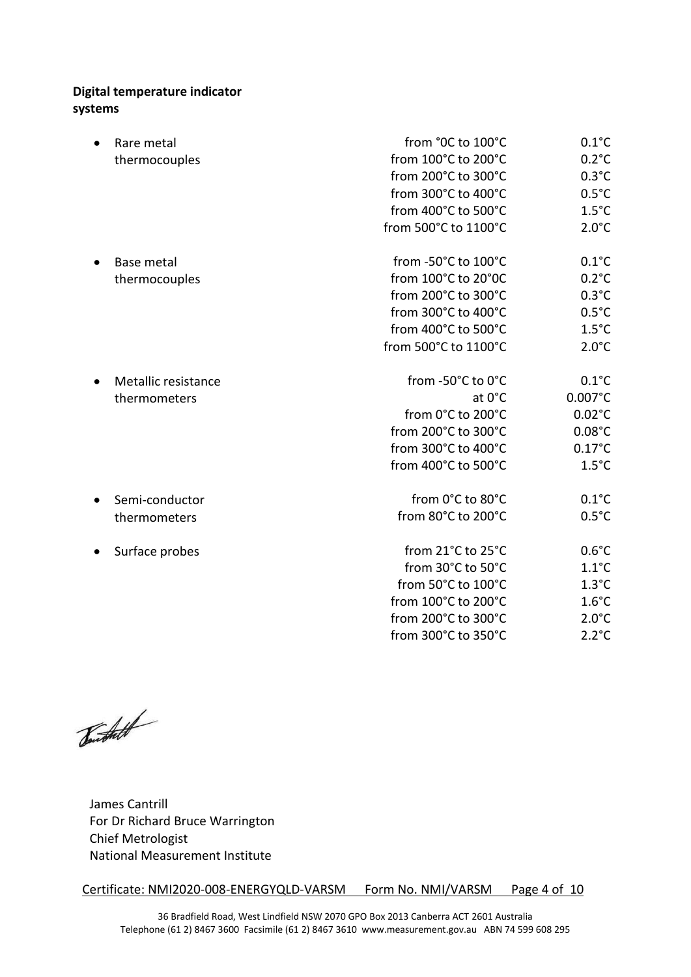### **Digital temperature indicator systems**

| Rare metal          | from °0C to 100°C    | $0.1^{\circ}$ C   |
|---------------------|----------------------|-------------------|
| thermocouples       | from 100°C to 200°C  | $0.2^{\circ}C$    |
|                     | from 200°C to 300°C  | $0.3^{\circ}$ C   |
|                     | from 300°C to 400°C  | $0.5^{\circ}$ C   |
|                     | from 400°C to 500°C  | $1.5^{\circ}$ C   |
|                     | from 500°C to 1100°C | $2.0^{\circ}$ C   |
| <b>Base metal</b>   | from -50°C to 100°C  | $0.1^{\circ}$ C   |
| thermocouples       | from 100°C to 20°0C  | $0.2^{\circ}$ C   |
|                     | from 200°C to 300°C  | $0.3^{\circ}$ C   |
|                     | from 300°C to 400°C  | $0.5^{\circ}$ C   |
|                     | from 400°C to 500°C  | $1.5^{\circ}$ C   |
|                     | from 500°C to 1100°C | $2.0^{\circ}$ C   |
| Metallic resistance | from -50°C to 0°C    | $0.1^{\circ}$ C   |
| thermometers        | at 0°C               | $0.007^{\circ}$ C |
|                     | from 0°C to 200°C    | $0.02^{\circ}$ C  |
|                     | from 200°C to 300°C  | $0.08^{\circ}$ C  |
|                     | from 300°C to 400°C  | $0.17^{\circ}$ C  |
|                     | from 400°C to 500°C  | $1.5^{\circ}$ C   |
| Semi-conductor      | from 0°C to 80°C     | $0.1^{\circ}$ C   |
| thermometers        | from 80°C to 200°C   | $0.5^{\circ}$ C   |
| Surface probes      | from 21°C to 25°C    | $0.6^{\circ}$ C   |
|                     | from 30°C to 50°C    | $1.1^{\circ}$ C   |
|                     | from 50°C to 100°C   | $1.3^{\circ}$ C   |
|                     | from 100°C to 200°C  | $1.6^{\circ}$ C   |
|                     | from 200°C to 300°C  | $2.0^{\circ}$ C   |
|                     | from 300°C to 350°C  | $2.2^{\circ}C$    |

Toutheth

James Cantrill For Dr Richard Bruce Warrington Chief Metrologist National Measurement Institute

Certificate: NMI2020-008-ENERGYQLD-VARSM Form No. NMI/VARSM Page 4 of 10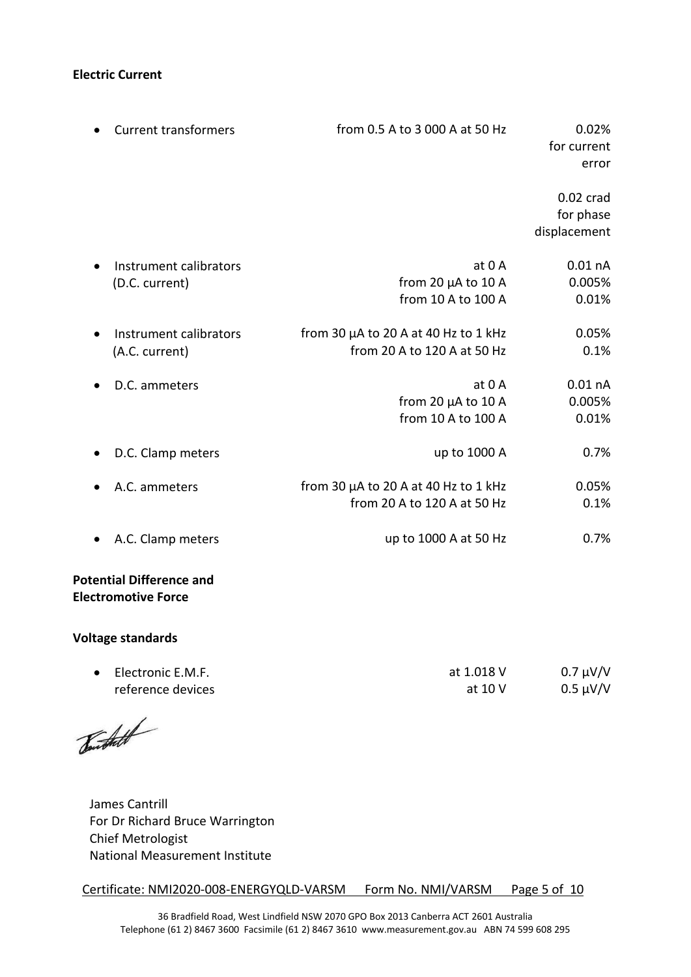#### **Electric Current**

| <b>Current transformers</b>                                   | from 0.5 A to 3 000 A at 50 Hz                                           | 0.02%<br>for current<br>error            |
|---------------------------------------------------------------|--------------------------------------------------------------------------|------------------------------------------|
|                                                               |                                                                          | $0.02$ crad<br>for phase<br>displacement |
| Instrument calibrators<br>$\bullet$<br>(D.C. current)         | at 0 A<br>from 20 $\mu$ A to 10 A<br>from 10 A to 100 A                  | $0.01$ nA<br>0.005%<br>0.01%             |
| Instrument calibrators<br>$\bullet$<br>(A.C. current)         | from 30 µA to 20 A at 40 Hz to 1 kHz<br>from 20 A to 120 A at 50 Hz      | 0.05%<br>0.1%                            |
| D.C. ammeters<br>$\bullet$                                    | at 0 A<br>from 20 µA to 10 A<br>from 10 A to 100 A                       | $0.01$ nA<br>0.005%<br>0.01%             |
| D.C. Clamp meters<br>$\bullet$                                | up to 1000 A                                                             | 0.7%                                     |
| A.C. ammeters                                                 | from 30 $\mu$ A to 20 A at 40 Hz to 1 kHz<br>from 20 A to 120 A at 50 Hz | 0.05%<br>0.1%                            |
| A.C. Clamp meters                                             | up to 1000 A at 50 Hz                                                    | 0.7%                                     |
| <b>Potential Difference and</b><br><b>Electromotive Force</b> |                                                                          |                                          |

#### **Voltage standards**

| Electronic E.M.F. | at 1.018 V | $0.7 \mu V/V$ |
|-------------------|------------|---------------|
| reference devices | at 10 V    | $0.5 \mu V/V$ |

Burstaff

James Cantrill For Dr Richard Bruce Warrington Chief Metrologist National Measurement Institute

Certificate: NMI2020-008-ENERGYQLD-VARSM Form No. NMI/VARSM Page 5 of 10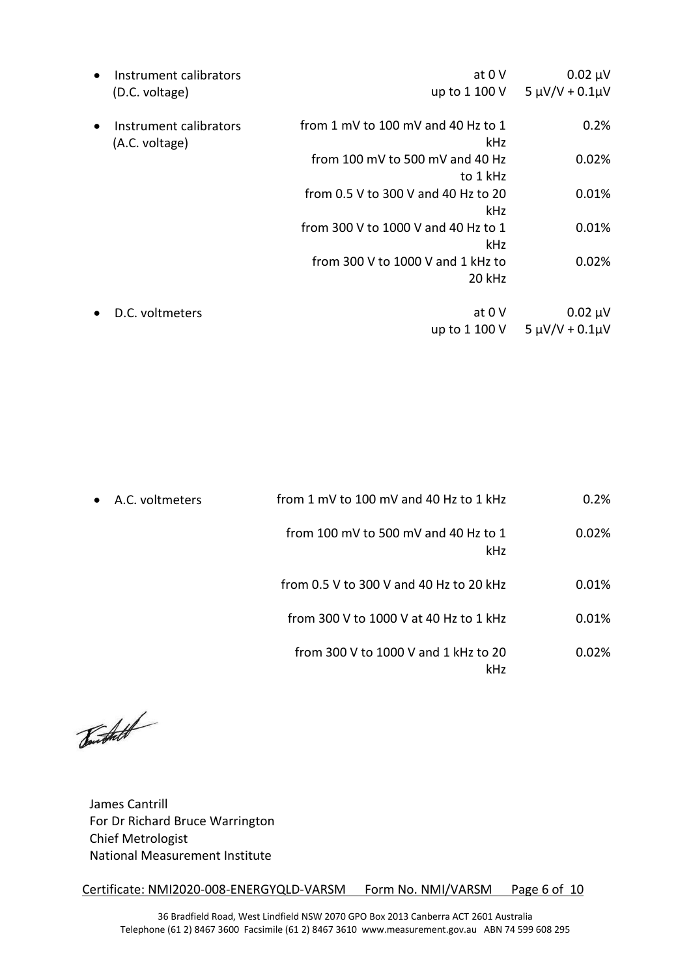|           | Instrument calibrators                   | at 0 V                                      | $0.02 \mu V$            |
|-----------|------------------------------------------|---------------------------------------------|-------------------------|
|           | (D.C. voltage)                           | up to 1 100 V                               | $5 \mu V/V + 0.1 \mu V$ |
| $\bullet$ | Instrument calibrators<br>(A.C. voltage) | from 1 mV to 100 mV and 40 Hz to 1<br>kHz   | 0.2%                    |
|           |                                          | from 100 mV to 500 mV and 40 Hz<br>to 1 kHz | 0.02%                   |
|           |                                          | from 0.5 V to 300 V and 40 Hz to 20<br>kHz  | 0.01%                   |
|           |                                          | from 300 V to 1000 V and 40 Hz to 1<br>kHz  | 0.01%                   |
|           |                                          | from 300 V to 1000 V and 1 kHz to<br>20 kHz | 0.02%                   |
|           | D.C. voltmeters                          | at $0V$                                     | $0.02 \mu V$            |
|           |                                          | up to 1 100 V                               | $5 \mu V/V + 0.1 \mu V$ |

| $\bullet$ | A.C. voltmeters | from 1 mV to 100 mV and 40 Hz to 1 kHz             | 0.2%  |
|-----------|-----------------|----------------------------------------------------|-------|
|           |                 | from 100 mV to 500 mV and 40 Hz to 1<br><b>kHz</b> | 0.02% |
|           |                 | from 0.5 V to 300 V and 40 Hz to 20 kHz            | 0.01% |
|           |                 | from 300 V to 1000 V at 40 Hz to 1 kHz             | 0.01% |
|           |                 | from 300 V to 1000 V and 1 kHz to 20<br>kHz        | 0.02% |

Toutheth

James Cantrill For Dr Richard Bruce Warrington Chief Metrologist National Measurement Institute

Certificate: NMI2020-008-ENERGYQLD-VARSM Form No. NMI/VARSM Page 6 of 10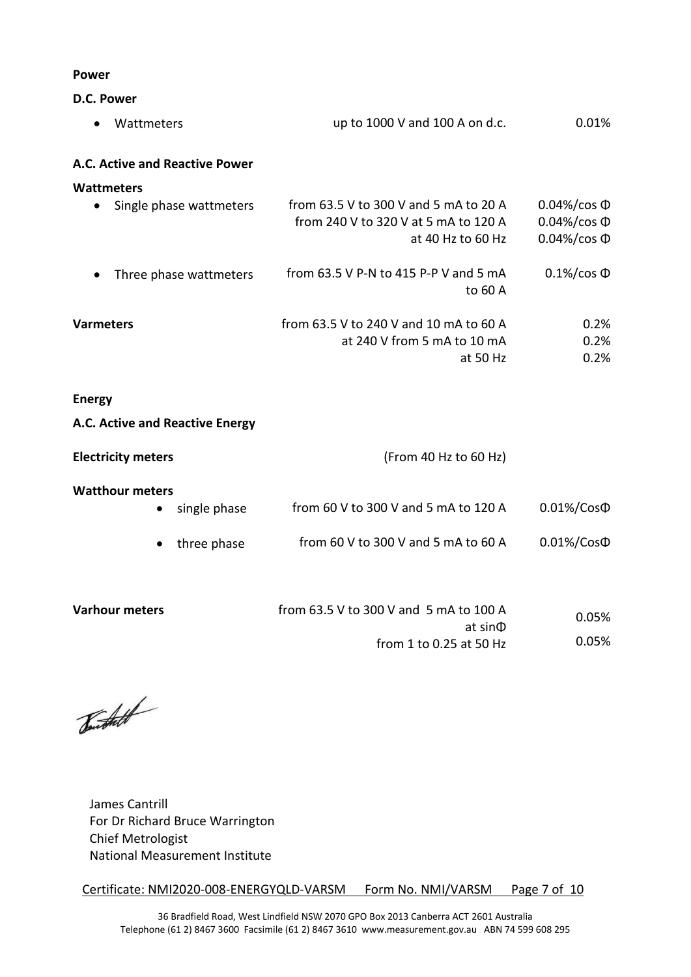#### **Power**

**D.C. Power** 

| Wattmeters                           | up to 1000 V and 100 A on d.c.          | 0.01%               |
|--------------------------------------|-----------------------------------------|---------------------|
| A.C. Active and Reactive Power       |                                         |                     |
| Wattmeters                           |                                         |                     |
| Single phase wattmeters<br>$\bullet$ | from 63.5 V to 300 V and 5 mA to 20 A   | $0.04\%/cos \Phi$   |
|                                      | from 240 V to 320 V at 5 mA to 120 A    | $0.04\%/cos \Phi$   |
|                                      | at 40 Hz to 60 Hz                       | $0.04\%/cos \Phi$   |
| Three phase wattmeters<br>$\bullet$  | from $63.5$ V P-N to 415 P-P V and 5 mA | $0.1\%$ /cos $\Phi$ |
|                                      | to 60 A                                 |                     |
| <b>Varmeters</b>                     | from 63.5 V to 240 V and 10 mA to 60 A  | 0.2%                |
|                                      | at 240 V from 5 mA to 10 mA             | 0.2%                |
|                                      | at 50 $Hz$                              | 0.2%                |

#### **Energy**

### **A.C. Active and Reactive Energy**

|              | (From 40 Hz to 60 Hz)                               |                  |
|--------------|-----------------------------------------------------|------------------|
|              |                                                     |                  |
| single phase | from 60 V to 300 V and 5 mA to 120 A                | $0.01\%/Cos\Phi$ |
| three phase  | from 60 V to 300 V and 5 mA to 60 A                 | $0.01\%/Cos\Phi$ |
|              |                                                     |                  |
|              | <b>Electricity meters</b><br><b>Watthour meters</b> |                  |

| <b>Varhour meters</b> | from 63.5 V to 300 V and 5 mA to 100 A | 0.05% |
|-----------------------|----------------------------------------|-------|
|                       | at sin <b>D</b>                        |       |
|                       | from 1 to 0.25 at 50 Hz                | 0.05% |

Touristet

James Cantrill For Dr Richard Bruce Warrington Chief Metrologist National Measurement Institute

Certificate: NMI2020-008-ENERGYQLD-VARSM Form No. NMI/VARSM Page 7 of 10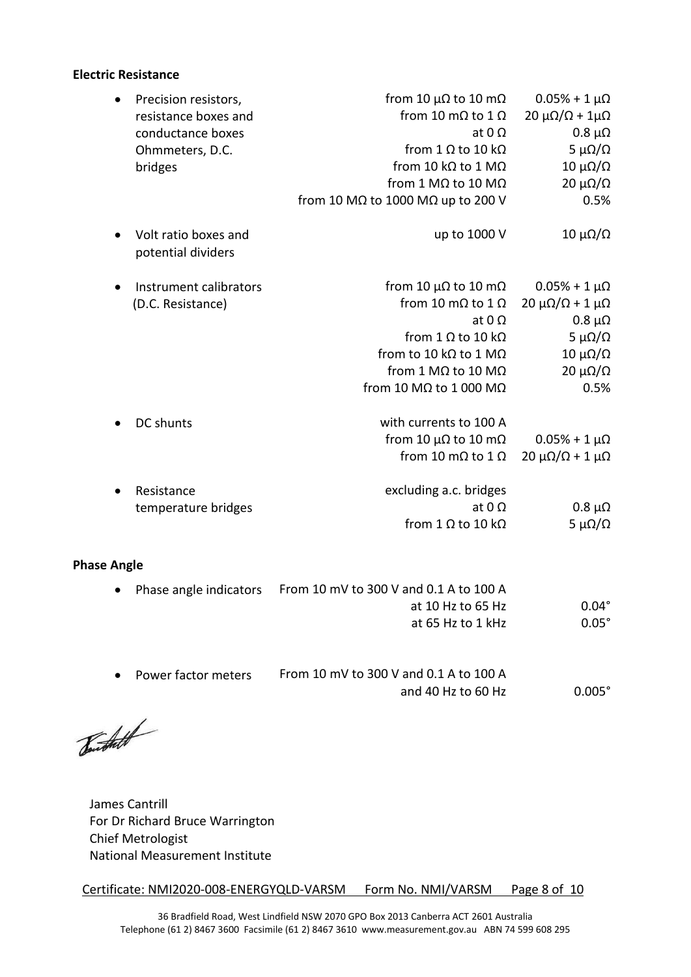#### **Electric Resistance**

| Precision resistors,                       | from 10 $\mu\Omega$ to 10 m $\Omega$              | $0.05% + 1 \mu\Omega$               |
|--------------------------------------------|---------------------------------------------------|-------------------------------------|
| resistance boxes and                       | from 10 m $\Omega$ to 1 $\Omega$                  | $20 \mu\Omega/\Omega + 1\mu\Omega$  |
| conductance boxes                          | at $0\Omega$                                      | $0.8 \mu\Omega$                     |
| Ohmmeters, D.C.                            | from 1 $\Omega$ to 10 k $\Omega$                  | 5 μΩ/Ω                              |
| bridges                                    | from 10 k $\Omega$ to 1 M $\Omega$                | $10 \mu$ Ω/Ω                        |
|                                            | from 1 M $\Omega$ to 10 M $\Omega$                | $20 \muΩ/Ω$                         |
|                                            | from 10 M $\Omega$ to 1000 M $\Omega$ up to 200 V | 0.5%                                |
| Volt ratio boxes and<br>potential dividers | up to 1000 V                                      | $10 \mu$ Ω/Ω                        |
| Instrument calibrators                     | from 10 $\mu\Omega$ to 10 m $\Omega$              | $0.05% + 1 \mu\Omega$               |
| (D.C. Resistance)                          | from 10 m $\Omega$ to 1 $\Omega$                  | $20 \mu\Omega/\Omega + 1 \mu\Omega$ |
|                                            | at $0 \Omega$                                     | $0.8 \mu\Omega$                     |
|                                            | from 1 $\Omega$ to 10 k $\Omega$                  | 5 μΩ/Ω                              |
|                                            | from to 10 kQ to 1 MQ                             | $10 \mu$ Ω/Ω                        |
|                                            | from 1 M $\Omega$ to 10 M $\Omega$                | $20 \mu\Omega/\Omega$               |
|                                            | from 10 M $\Omega$ to 1 000 M $\Omega$            | 0.5%                                |
| DC shunts                                  | with currents to 100 A                            |                                     |
|                                            | from 10 $\mu\Omega$ to 10 m $\Omega$              | $0.05% + 1 \mu\Omega$               |
|                                            | from 10 m $\Omega$ to 1 $\Omega$                  | $20 \mu\Omega/\Omega + 1 \mu\Omega$ |
| Resistance                                 | excluding a.c. bridges                            |                                     |
| temperature bridges                        | at $0 \Omega$                                     | $0.8 \mu\Omega$                     |
|                                            | from 1 $\Omega$ to 10 k $\Omega$                  | 5 μ $\Omega/\Omega$                 |
| <b>Phase Angle</b>                         |                                                   |                                     |
| Phase angle indicators                     | From 10 mV to 300 V and 0.1 A to 100 A            |                                     |
|                                            | at 10 Hz to 65 Hz                                 | $0.04^\circ$                        |
|                                            | at 65 Hz to 1 kHz                                 | $0.05^\circ$                        |
|                                            |                                                   |                                     |

| • Power factor meters | From 10 mV to 300 V and 0.1 A to 100 A |                 |
|-----------------------|----------------------------------------|-----------------|
|                       | and 40 Hz to 60 Hz                     | $0.005^{\circ}$ |

Toutheth

James Cantrill For Dr Richard Bruce Warrington Chief Metrologist National Measurement Institute

Certificate: NMI2020-008-ENERGYQLD-VARSM Form No. NMI/VARSM Page 8 of 10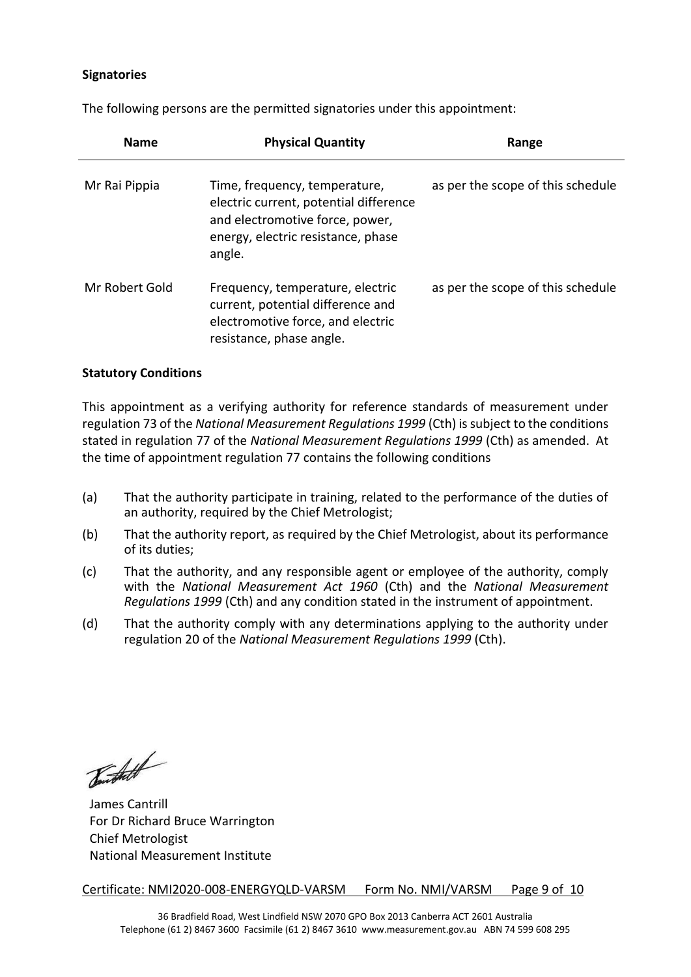#### **Signatories**

The following persons are the permitted signatories under this appointment:

| <b>Name</b>    | <b>Physical Quantity</b>                                                                                                                                   | Range                             |
|----------------|------------------------------------------------------------------------------------------------------------------------------------------------------------|-----------------------------------|
| Mr Rai Pippia  | Time, frequency, temperature,<br>electric current, potential difference<br>and electromotive force, power,<br>energy, electric resistance, phase<br>angle. | as per the scope of this schedule |
| Mr Robert Gold | Frequency, temperature, electric<br>current, potential difference and<br>electromotive force, and electric<br>resistance, phase angle.                     | as per the scope of this schedule |

#### **Statutory Conditions**

This appointment as a verifying authority for reference standards of measurement under regulation 73 of the *National Measurement Regulations 1999* (Cth) is subject to the conditions stated in regulation 77 of the *National Measurement Regulations 1999* (Cth) as amended. At the time of appointment regulation 77 contains the following conditions

- (a) That the authority participate in training, related to the performance of the duties of an authority, required by the Chief Metrologist;
- (b) That the authority report, as required by the Chief Metrologist, about its performance of its duties;
- (c) That the authority, and any responsible agent or employee of the authority, comply with the *National Measurement Act 1960* (Cth) and the *National Measurement Regulations 1999* (Cth) and any condition stated in the instrument of appointment.
- (d) That the authority comply with any determinations applying to the authority under regulation 20 of the *National Measurement Regulations 1999* (Cth).

Burthett

James Cantrill For Dr Richard Bruce Warrington Chief Metrologist National Measurement Institute

Certificate: NMI2020-008-ENERGYQLD-VARSM Form No. NMI/VARSM Page 9 of 10